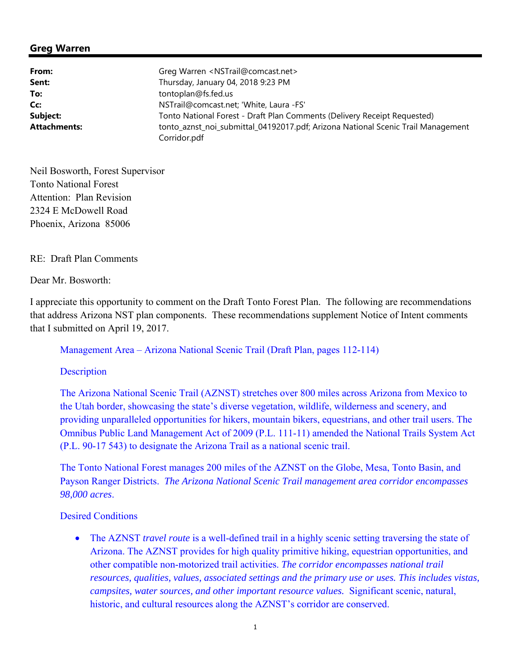## **Greg Warren**

| From:               | Greg Warren <nstrail@comcast.net></nstrail@comcast.net>                          |
|---------------------|----------------------------------------------------------------------------------|
| Sent:               | Thursday, January 04, 2018 9:23 PM                                               |
| To:                 | tontoplan@fs.fed.us                                                              |
| Cc:                 | NSTrail@comcast.net; 'White, Laura -FS'                                          |
| Subject:            | Tonto National Forest - Draft Plan Comments (Delivery Receipt Requested)         |
| <b>Attachments:</b> | tonto_aznst_noi_submittal_04192017.pdf; Arizona National Scenic Trail Management |
|                     | Corridor.pdf                                                                     |

Neil Bosworth, Forest Supervisor Tonto National Forest Attention: Plan Revision 2324 E McDowell Road Phoenix, Arizona 85006

### RE: Draft Plan Comments

Dear Mr. Bosworth:

I appreciate this opportunity to comment on the Draft Tonto Forest Plan. The following are recommendations that address Arizona NST plan components. These recommendations supplement Notice of Intent comments that I submitted on April 19, 2017.

Management Area – Arizona National Scenic Trail (Draft Plan, pages 112-114)

**Description** 

The Arizona National Scenic Trail (AZNST) stretches over 800 miles across Arizona from Mexico to the Utah border, showcasing the state's diverse vegetation, wildlife, wilderness and scenery, and providing unparalleled opportunities for hikers, mountain bikers, equestrians, and other trail users. The Omnibus Public Land Management Act of 2009 (P.L. 111-11) amended the National Trails System Act (P.L. 90-17 543) to designate the Arizona Trail as a national scenic trail.

The Tonto National Forest manages 200 miles of the AZNST on the Globe, Mesa, Tonto Basin, and Payson Ranger Districts. *The Arizona National Scenic Trail management area corridor encompasses 98,000 acres*.

Desired Conditions

 The AZNST *travel route* is a well-defined trail in a highly scenic setting traversing the state of Arizona. The AZNST provides for high quality primitive hiking, equestrian opportunities, and other compatible non-motorized trail activities. *The corridor encompasses national trail resources, qualities, values, associated settings and the primary use or uses. This includes vistas, campsites, water sources, and other important resource values.* Significant scenic, natural, historic, and cultural resources along the AZNST's corridor are conserved.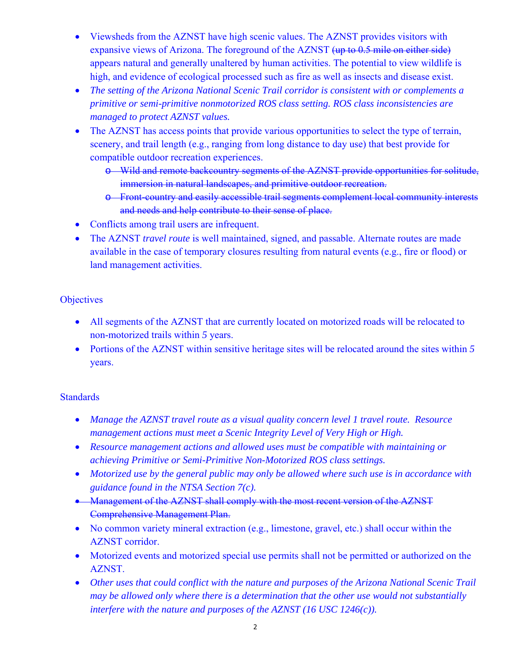- Viewsheds from the AZNST have high scenic values. The AZNST provides visitors with expansive views of Arizona. The foreground of the AZNST (up to 0.5 mile on either side) appears natural and generally unaltered by human activities. The potential to view wildlife is high, and evidence of ecological processed such as fire as well as insects and disease exist.
- *The setting of the Arizona National Scenic Trail corridor is consistent with or complements a primitive or semi-primitive nonmotorized ROS class setting. ROS class inconsistencies are managed to protect AZNST values.*
- The AZNST has access points that provide various opportunities to select the type of terrain, scenery, and trail length (e.g., ranging from long distance to day use) that best provide for compatible outdoor recreation experiences.
	- o Wild and remote backcountry segments of the AZNST provide opportunities for solitude, immersion in natural landscapes, and primitive outdoor recreation.
	- o Front-country and easily accessible trail segments complement local community interests and needs and help contribute to their sense of place.
- Conflicts among trail users are infrequent.
- The AZNST *travel route* is well maintained, signed, and passable. Alternate routes are made available in the case of temporary closures resulting from natural events (e.g., fire or flood) or land management activities.

# **Objectives**

- All segments of the AZNST that are currently located on motorized roads will be relocated to non-motorized trails within *5* years.
- Portions of the AZNST within sensitive heritage sites will be relocated around the sites within *5* years.

## **Standards**

- *Manage the AZNST travel route as a visual quality concern level 1 travel route. Resource management actions must meet a Scenic Integrity Level of Very High or High.*
- *Resource management actions and allowed uses must be compatible with maintaining or achieving Primitive or Semi-Primitive Non-Motorized ROS class settings.*
- *Motorized use by the general public may only be allowed where such use is in accordance with guidance found in the NTSA Section 7(c).*
- Management of the AZNST shall comply with the most recent version of the AZNST Comprehensive Management Plan.
- No common variety mineral extraction (e.g., limestone, gravel, etc.) shall occur within the AZNST corridor.
- Motorized events and motorized special use permits shall not be permitted or authorized on the AZNST.
- *Other uses that could conflict with the nature and purposes of the Arizona National Scenic Trail may be allowed only where there is a determination that the other use would not substantially interfere with the nature and purposes of the AZNST (16 USC 1246(c)).*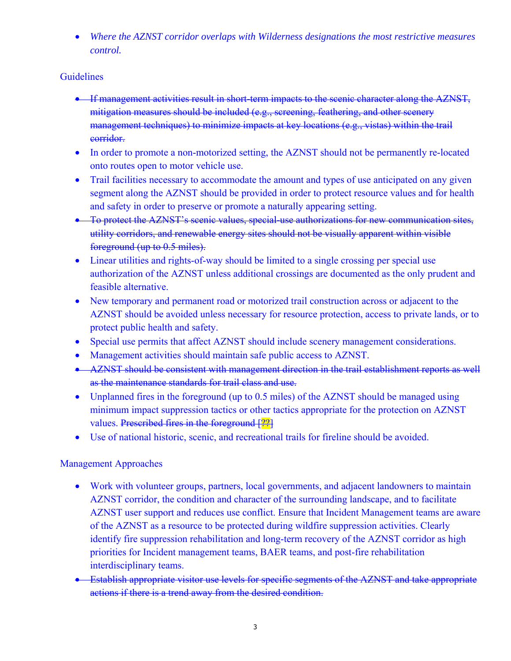*Where the AZNST corridor overlaps with Wilderness designations the most restrictive measures control.* 

## Guidelines

- **If management activities result in short-term impacts to the scenic character along the AZNST,** mitigation measures should be included (e.g., screening, feathering, and other scenery management techniques) to minimize impacts at key locations (e.g., vistas) within the trail corridor.
- In order to promote a non-motorized setting, the AZNST should not be permanently re-located onto routes open to motor vehicle use.
- Trail facilities necessary to accommodate the amount and types of use anticipated on any given segment along the AZNST should be provided in order to protect resource values and for health and safety in order to preserve or promote a naturally appearing setting.
- To protect the AZNST's scenic values, special-use authorizations for new communication sites, utility corridors, and renewable energy sites should not be visually apparent within visible foreground (up to 0.5 miles).
- Linear utilities and rights-of-way should be limited to a single crossing per special use authorization of the AZNST unless additional crossings are documented as the only prudent and feasible alternative.
- New temporary and permanent road or motorized trail construction across or adjacent to the AZNST should be avoided unless necessary for resource protection, access to private lands, or to protect public health and safety.
- Special use permits that affect AZNST should include scenery management considerations.
- Management activities should maintain safe public access to AZNST.
- AZNST should be consistent with management direction in the trail establishment reports as well as the maintenance standards for trail class and use.
- Unplanned fires in the foreground (up to 0.5 miles) of the AZNST should be managed using minimum impact suppression tactics or other tactics appropriate for the protection on AZNST values. Prescribed fires in the foreground [??]
- Use of national historic, scenic, and recreational trails for fireline should be avoided.

# Management Approaches

- Work with volunteer groups, partners, local governments, and adjacent landowners to maintain AZNST corridor, the condition and character of the surrounding landscape, and to facilitate AZNST user support and reduces use conflict. Ensure that Incident Management teams are aware of the AZNST as a resource to be protected during wildfire suppression activities. Clearly identify fire suppression rehabilitation and long-term recovery of the AZNST corridor as high priorities for Incident management teams, BAER teams, and post-fire rehabilitation interdisciplinary teams.
- Establish appropriate visitor use levels for specific segments of the AZNST and take appropriate actions if there is a trend away from the desired condition.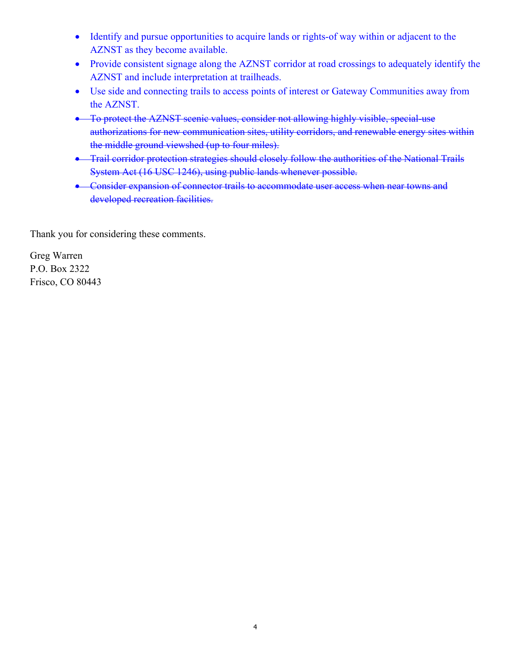- Identify and pursue opportunities to acquire lands or rights-of way within or adjacent to the AZNST as they become available.
- Provide consistent signage along the AZNST corridor at road crossings to adequately identify the AZNST and include interpretation at trailheads.
- Use side and connecting trails to access points of interest or Gateway Communities away from the AZNST.
- To protect the AZNST scenic values, consider not allowing highly visible, special-use authorizations for new communication sites, utility corridors, and renewable energy sites within the middle ground viewshed (up to four miles).
- Trail corridor protection strategies should closely follow the authorities of the National Trails System Act (16 USC 1246), using public lands whenever possible.
- **•** Consider expansion of connector trails to accommodate user access when near towns and developed recreation facilities.

Thank you for considering these comments.

Greg Warren P.O. Box 2322 Frisco, CO 80443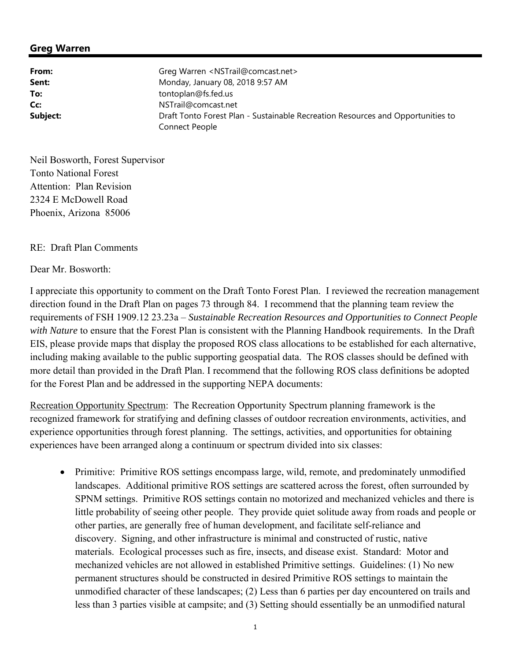### **Greg Warren**

| From:    | Greg Warren <nstrail@comcast.net></nstrail@comcast.net>                         |
|----------|---------------------------------------------------------------------------------|
| Sent:    | Monday, January 08, 2018 9:57 AM                                                |
| To:      | tontoplan@fs.fed.us                                                             |
| Cc:      | NSTrail@comcast.net                                                             |
| Subject: | Draft Tonto Forest Plan - Sustainable Recreation Resources and Opportunities to |
|          | Connect People                                                                  |

Neil Bosworth, Forest Supervisor Tonto National Forest Attention: Plan Revision 2324 E McDowell Road Phoenix, Arizona 85006

### RE: Draft Plan Comments

#### Dear Mr. Bosworth:

I appreciate this opportunity to comment on the Draft Tonto Forest Plan. I reviewed the recreation management direction found in the Draft Plan on pages 73 through 84. I recommend that the planning team review the requirements of FSH 1909.12 23.23a – *Sustainable Recreation Resources and Opportunities to Connect People with Nature* to ensure that the Forest Plan is consistent with the Planning Handbook requirements. In the Draft EIS, please provide maps that display the proposed ROS class allocations to be established for each alternative, including making available to the public supporting geospatial data. The ROS classes should be defined with more detail than provided in the Draft Plan. I recommend that the following ROS class definitions be adopted for the Forest Plan and be addressed in the supporting NEPA documents:

Recreation Opportunity Spectrum: The Recreation Opportunity Spectrum planning framework is the recognized framework for stratifying and defining classes of outdoor recreation environments, activities, and experience opportunities through forest planning. The settings, activities, and opportunities for obtaining experiences have been arranged along a continuum or spectrum divided into six classes:

• Primitive: Primitive ROS settings encompass large, wild, remote, and predominately unmodified landscapes. Additional primitive ROS settings are scattered across the forest, often surrounded by SPNM settings. Primitive ROS settings contain no motorized and mechanized vehicles and there is little probability of seeing other people. They provide quiet solitude away from roads and people or other parties, are generally free of human development, and facilitate self-reliance and discovery. Signing, and other infrastructure is minimal and constructed of rustic, native materials. Ecological processes such as fire, insects, and disease exist. Standard: Motor and mechanized vehicles are not allowed in established Primitive settings. Guidelines: (1) No new permanent structures should be constructed in desired Primitive ROS settings to maintain the unmodified character of these landscapes; (2) Less than 6 parties per day encountered on trails and less than 3 parties visible at campsite; and (3) Setting should essentially be an unmodified natural